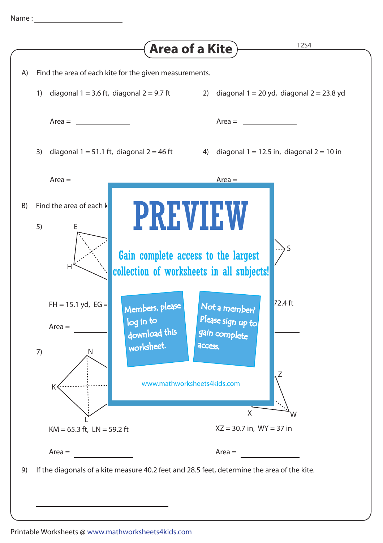